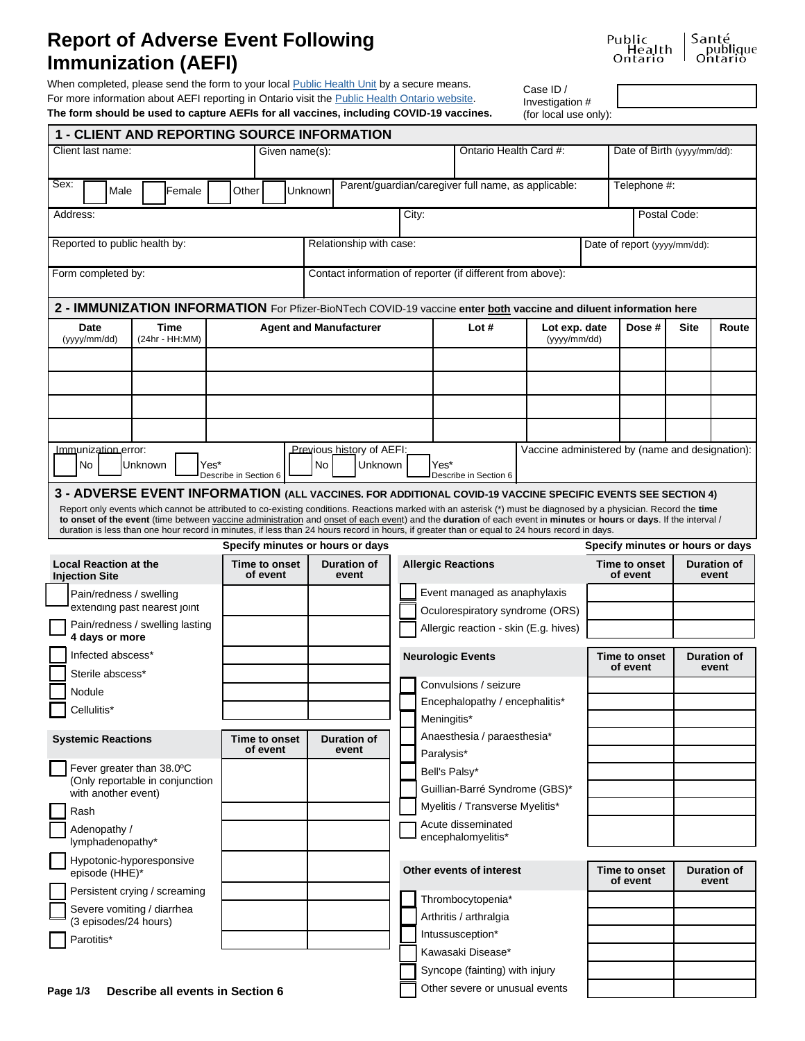## **Report of Adverse Event Following Immunization (AEFI)**

When completed, please send the form to your local **Public Health Unit** by a secure means. For more information about AEFI reporting in Ontario visit the **Public Health Ontario website**.

Cas  $Inv<sub>0</sub>$ 

| se ID /      |  |  |
|--------------|--|--|
| estigation # |  |  |
|              |  |  |

| Public            | Santé               |
|-------------------|---------------------|
| Health<br>Ontario | publique<br>Ontario |
|                   |                     |

| The form should be used to capture AEFIs for all vaccines, including COVID-19 vaccines.<br>(for local use only):                                                                                                                                                                                                                                                                                                                                     |                                                   |                                            |                                                                     |                                |                                                 |                                                          |                                                   |              |                    |
|------------------------------------------------------------------------------------------------------------------------------------------------------------------------------------------------------------------------------------------------------------------------------------------------------------------------------------------------------------------------------------------------------------------------------------------------------|---------------------------------------------------|--------------------------------------------|---------------------------------------------------------------------|--------------------------------|-------------------------------------------------|----------------------------------------------------------|---------------------------------------------------|--------------|--------------------|
| <b>1 - CLIENT AND REPORTING SOURCE INFORMATION</b>                                                                                                                                                                                                                                                                                                                                                                                                   |                                                   |                                            |                                                                     |                                |                                                 |                                                          |                                                   |              |                    |
| Client last name:                                                                                                                                                                                                                                                                                                                                                                                                                                    | Given name(s):                                    |                                            | Ontario Health Card #:                                              |                                |                                                 | Date of Birth (yyyy/mm/dd):                              |                                                   |              |                    |
| Sex:<br>Female<br>Male                                                                                                                                                                                                                                                                                                                                                                                                                               | Other                                             | Unknown                                    | Parent/quardian/caregiver full name, as applicable:<br>Telephone #: |                                |                                                 |                                                          |                                                   |              |                    |
| Address:                                                                                                                                                                                                                                                                                                                                                                                                                                             |                                                   |                                            | City:                                                               |                                |                                                 |                                                          |                                                   | Postal Code: |                    |
| Reported to public health by:                                                                                                                                                                                                                                                                                                                                                                                                                        |                                                   | Relationship with case:                    |                                                                     |                                |                                                 |                                                          | Date of report (yyyy/mm/dd):                      |              |                    |
| Form completed by:<br>Contact information of reporter (if different from above):                                                                                                                                                                                                                                                                                                                                                                     |                                                   |                                            |                                                                     |                                |                                                 |                                                          |                                                   |              |                    |
| 2 - IMMUNIZATION INFORMATION For Pfizer-BioNTech COVID-19 vaccine enter <b>both</b> vaccine and diluent information here                                                                                                                                                                                                                                                                                                                             |                                                   |                                            |                                                                     |                                |                                                 |                                                          |                                                   |              |                    |
| Time<br>Date<br>(yyyy/mm/dd)<br>(24hr - HH:MM)                                                                                                                                                                                                                                                                                                                                                                                                       |                                                   | <b>Agent and Manufacturer</b>              | Lot#                                                                |                                | Lot exp. date<br>(yyyy/mm/dd)                   |                                                          | Dose #<br>Site                                    |              | Route              |
|                                                                                                                                                                                                                                                                                                                                                                                                                                                      |                                                   |                                            |                                                                     |                                |                                                 |                                                          |                                                   |              |                    |
|                                                                                                                                                                                                                                                                                                                                                                                                                                                      |                                                   |                                            |                                                                     |                                |                                                 |                                                          |                                                   |              |                    |
|                                                                                                                                                                                                                                                                                                                                                                                                                                                      |                                                   |                                            |                                                                     |                                |                                                 |                                                          |                                                   |              |                    |
|                                                                                                                                                                                                                                                                                                                                                                                                                                                      |                                                   |                                            |                                                                     |                                |                                                 |                                                          |                                                   |              |                    |
|                                                                                                                                                                                                                                                                                                                                                                                                                                                      |                                                   |                                            |                                                                     |                                | Vaccine administered by (name and designation): |                                                          |                                                   |              |                    |
| Immunization error:<br>Unknown<br>Yes*<br>No                                                                                                                                                                                                                                                                                                                                                                                                         | Describe in Section 6                             | Previous history of AEFI:<br>Unknown<br>No | Yes*                                                                | Describe in Section 6          |                                                 |                                                          |                                                   |              |                    |
| 3 - ADVERSE EVENT INFORMATION (ALL VACCINES. FOR ADDITIONAL COVID-19 VACCINE SPECIFIC EVENTS SEE SECTION 4)<br>Report only events which cannot be attributed to co-existing conditions. Reactions marked with an asterisk (*) must be diagnosed by a physician. Record the time<br>to onset of the event (time between vaccine administration and onset of each event) and the duration of each event in minutes or hours or days. If the interval / |                                                   |                                            |                                                                     |                                |                                                 |                                                          |                                                   |              |                    |
| duration is less than one hour record in minutes, if less than 24 hours record in hours, if greater than or equal to 24 hours record in days.                                                                                                                                                                                                                                                                                                        |                                                   |                                            |                                                                     |                                |                                                 |                                                          |                                                   |              |                    |
| <b>Local Reaction at the</b>                                                                                                                                                                                                                                                                                                                                                                                                                         | Specify minutes or hours or days<br>Time to onset | <b>Duration of</b>                         | <b>Allergic Reactions</b>                                           |                                |                                                 |                                                          | Specify minutes or hours or days<br>Time to onset |              | Duration of        |
| <b>Injection Site</b>                                                                                                                                                                                                                                                                                                                                                                                                                                | of event                                          | event                                      |                                                                     |                                |                                                 |                                                          | of event                                          |              | event              |
| Pain/redness / swelling                                                                                                                                                                                                                                                                                                                                                                                                                              |                                                   |                                            | Event managed as anaphylaxis                                        |                                |                                                 |                                                          |                                                   |              |                    |
| extending past nearest joint<br>Pain/redness / swelling lasting                                                                                                                                                                                                                                                                                                                                                                                      |                                                   |                                            | Oculorespiratory syndrome (ORS)                                     |                                |                                                 |                                                          |                                                   |              |                    |
| 4 days or more                                                                                                                                                                                                                                                                                                                                                                                                                                       |                                                   |                                            | Allergic reaction - skin (E.g. hives)                               |                                |                                                 |                                                          |                                                   |              |                    |
| Infected abscess*                                                                                                                                                                                                                                                                                                                                                                                                                                    |                                                   |                                            | <b>Neurologic Events</b>                                            |                                |                                                 | Time to onset<br><b>Duration of</b><br>of event<br>event |                                                   |              |                    |
| Sterile abscess*                                                                                                                                                                                                                                                                                                                                                                                                                                     |                                                   |                                            | Convulsions / seizure                                               |                                |                                                 |                                                          |                                                   |              |                    |
| Nodule                                                                                                                                                                                                                                                                                                                                                                                                                                               |                                                   |                                            | Encephalopathy / encephalitis*                                      |                                |                                                 |                                                          |                                                   |              |                    |
| Cellulitis*                                                                                                                                                                                                                                                                                                                                                                                                                                          |                                                   |                                            | Meningitis*                                                         |                                |                                                 |                                                          |                                                   |              |                    |
| <b>Systemic Reactions</b>                                                                                                                                                                                                                                                                                                                                                                                                                            | Time to onset                                     | <b>Duration of</b>                         |                                                                     | Anaesthesia / paraesthesia*    |                                                 |                                                          |                                                   |              |                    |
| Fever greater than 38.0°C                                                                                                                                                                                                                                                                                                                                                                                                                            | of event                                          | event                                      | Paralysis*                                                          |                                |                                                 |                                                          |                                                   |              |                    |
| (Only reportable in conjunction                                                                                                                                                                                                                                                                                                                                                                                                                      |                                                   |                                            | Bell's Palsy*                                                       |                                |                                                 |                                                          |                                                   |              |                    |
| with another event)                                                                                                                                                                                                                                                                                                                                                                                                                                  |                                                   |                                            | Guillian-Barré Syndrome (GBS)*<br>Myelitis / Transverse Myelitis*   |                                |                                                 |                                                          |                                                   |              |                    |
| Rash                                                                                                                                                                                                                                                                                                                                                                                                                                                 |                                                   |                                            | Acute disseminated                                                  |                                |                                                 |                                                          |                                                   |              |                    |
| Adenopathy /<br>lymphadenopathy*                                                                                                                                                                                                                                                                                                                                                                                                                     |                                                   |                                            |                                                                     | encephalomyelitis*             |                                                 |                                                          |                                                   |              |                    |
| Hypotonic-hyporesponsive<br>episode (HHE)*                                                                                                                                                                                                                                                                                                                                                                                                           |                                                   |                                            |                                                                     | Other events of interest       |                                                 |                                                          | Time to onset<br>of event                         |              | <b>Duration of</b> |
| Persistent crying / screaming                                                                                                                                                                                                                                                                                                                                                                                                                        |                                                   |                                            |                                                                     | Thrombocytopenia*              |                                                 |                                                          |                                                   |              | event              |
| Severe vomiting / diarrhea                                                                                                                                                                                                                                                                                                                                                                                                                           |                                                   |                                            |                                                                     | Arthritis / arthralgia         |                                                 |                                                          |                                                   |              |                    |
| (3 episodes/24 hours)<br>Parotitis*                                                                                                                                                                                                                                                                                                                                                                                                                  |                                                   |                                            |                                                                     | Intussusception*               |                                                 |                                                          |                                                   |              |                    |
|                                                                                                                                                                                                                                                                                                                                                                                                                                                      |                                                   |                                            |                                                                     | Kawasaki Disease*              |                                                 |                                                          |                                                   |              |                    |
|                                                                                                                                                                                                                                                                                                                                                                                                                                                      |                                                   |                                            |                                                                     | Syncope (fainting) with injury |                                                 |                                                          |                                                   |              |                    |

Other severe or unusual events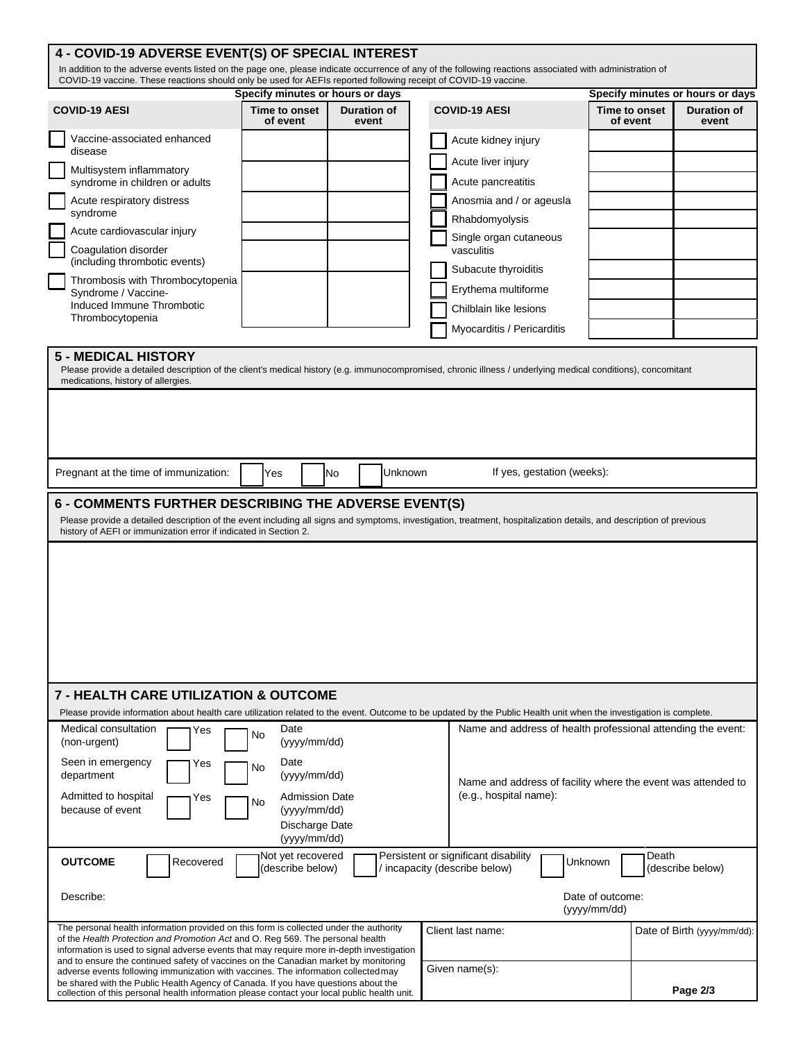## **Specify minutes or hours or days Specify minutes or hours or days 5 - MEDICAL HISTORY** Please provide a detailed description of the client's medical history (e.g. immunocompromised, chronic illness / underlying medical conditions), concomitant medications, history of allergies. Pregnant at the time of immunization:  $\begin{vmatrix} \gamma_{\text{es}} & \gamma_{\text{obs}} \\ \gamma_{\text{es}} & \gamma_{\text{obs}} \end{vmatrix}$  Unknown If yes, gestation (weeks): **6 - COMMENTS FURTHER DESCRIBING THE ADVERSE EVENT(S)** Please provide a detailed description of the event including all signs and symptoms, investigation, treatment, hospitalization details, and description of previous history of AEFI or immunization error if indicated in Section 2. **7 - HEALTH CARE UTILIZATION & OUTCOME** Please provide information about health care utilization related to the event. Outcome to be updated by the Public Health unit when the investigation is complete. Medical consultation  $\Box$  Yes  $\Box$  No Date  $\Box$  No Date Name and address of health professional attending the event: (yyyy/mm/dd) Seen in emergency **The Seen in emergency**  $\sum$  Yes  $\sum$  No Date (yyyy/mm/dd) Name and address of facility where the event was attended to Admitted to hospital **The State of State Admission Date** (e.g., hospital name):<br>because of event  $\Box$  Yes (yyyy/mm/dd) because of event Discharge Date (yyyy/mm/dd) **OUTCOME** Describe: Recovered **Not** yet recovered (describe below) Persistent or significant disability **Persistent or significant disability** | Unknown<br>incapacity (describe below) | | Unknown Date of outcome: (yyyy/mm/dd) Death (describe below) The personal health information provided on this form is collected under the authority of the *Health Protection and Promotion Act* and O. Reg 569. The personal health information is used to signal adverse events that may require more in-depth investigation and to ensure the continued safety of vaccines on the Canadian market by monitoring adverse events following immunization with vaccines. The information collectedmay be shared with the Public Health Agency of Canada. If you have questions about the collection of this personal health information please contact your local public health unit. Client last name:  $\vert$  Date of Birth (yyyy/mm/dd): Given name(s): **Page 2/3 COVID-19 AESI Time to onset of event Duration of event** Acute kidney injury Acute liver injury Acute pancreatitis Anosmia and / or ageusla Rhabdomyolysis Single organ cutaneous vasculitis Subacute thyroiditis Erythema multiforme Chilblain like lesions Myocarditis / Pericarditis **COVID-19 AESI Time to onset of event Duration of event** Vaccine-associated enhanced disease Multisystem inflammatory syndrome in children or adults Acute respiratory distress syndrome Acute cardiovascular injury Coagulation disorder (including thrombotic events) Thrombosis with Thrombocytopenia Syndrome / Vaccine-Induced Immune Thrombotic Thrombocytopenia **4 - COVID-19 ADVERSE EVENT(S) OF SPECIAL INTEREST** In addition to the adverse events listed on the page one, please indicate occurrence of any of the following reactions associated with administration of COVID-19 vaccine. These reactions should only be used for AEFIs reported following receipt of COVID-19 vaccine.